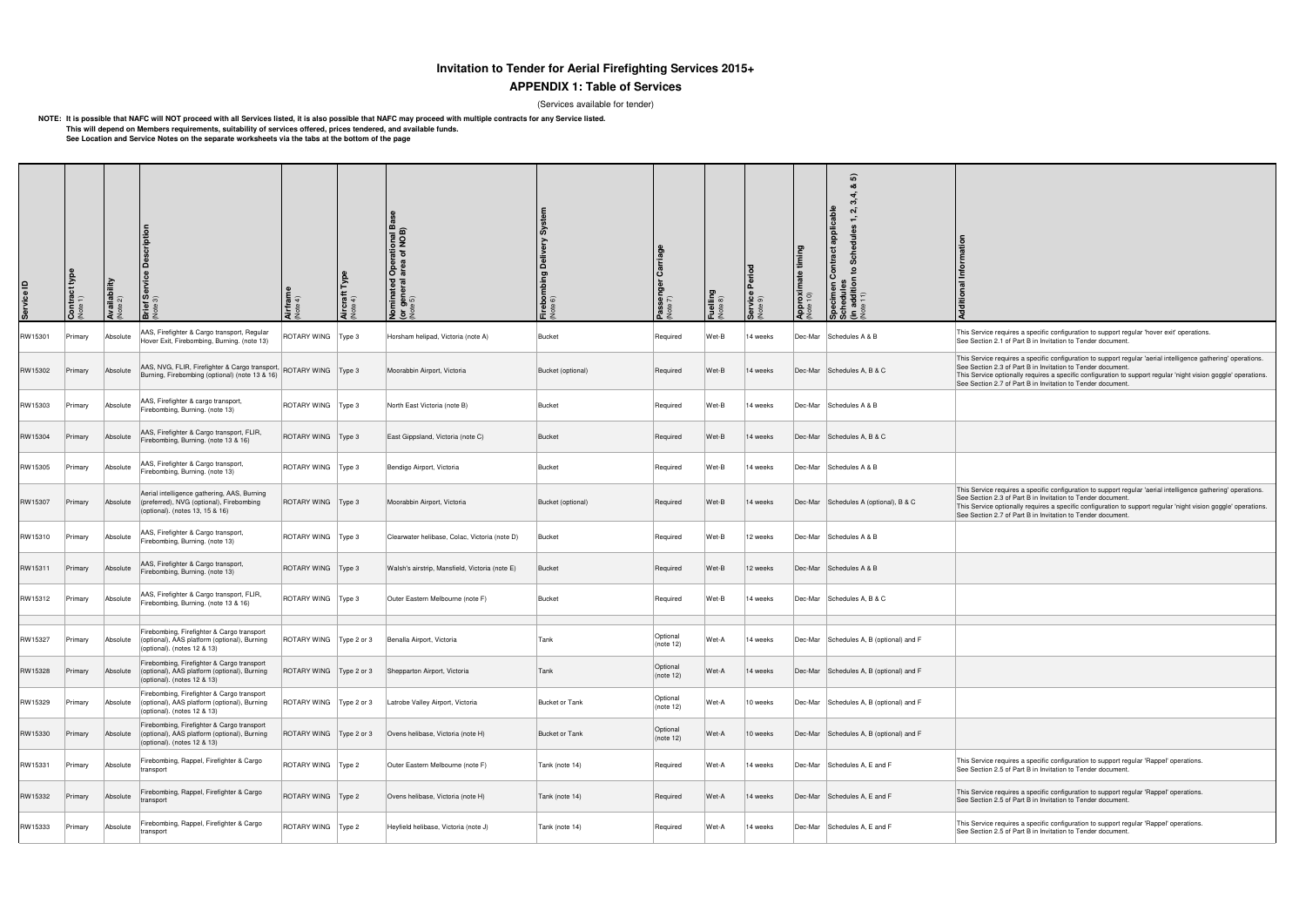# **Invitation to Tender for Aerial Firefighting Services 2015+**

## **APPENDIX 1: Table of Services**

(Services available for tender)

**NOTE: It is possible that NAFC will NOT proceed with all Services listed, it is also possible that NAFC may proceed with multiple contracts for any Service listed. This will depend on Members requirements, suitability of services offered, prices tendered, and available funds.See Location and Service Notes on the separate worksheets via the tabs at the bottom of the page**

> vice requires a specific configuration to support regular 'aerial intelligence gathering' operations. tion 2.3 of Part B in Invitation to Tender document. This Service optionally requires a specific configuration to support regular 'night vision goggle' operations. See Section 2.7 of Part B in Invitation to Tender document.

This Service requires a specific configuration to support regular 'aerial intelligence gathering' operations. See Section 2.3 of Part B in Invitation to Tender document. This Service optionally requires a specific configuration to support regular 'night vision goggle' operations.

See Section 2.7 of Part B in Invitation to Tender document.

| <b>QI</b> ervice <b>D</b> | <b>Contract</b><br>Note 1) | Availability<br>(Note 2) | escription<br>Brief Service I<br>(Note 3)                                                                                  | <b>Airfran</b><br>Note 4) | Aircraft <sup>-</sup><br>Note 4) | I Operational Bas<br>I area of NOB)<br><b>minated</b><br>• <b>general</b><br><sup>pte 5)</sup><br>호 호 | Firebombing Delivery System<br>Note 6) | P <b>asseng</b><br><sup>Note 7)</sup> | Fuelling<br>Note 8) | <b>Service Period</b><br>(Note 9) | $\lim$<br><b>Approximate</b><br>(Note 10) | စြ<br>•ಶ<br>$\sim$<br>applicable<br>Schedul<br>Contract<br>Specimen Cont<br>Schedules<br>(in addition to S<br>(Note 11) | dditional                                                                                                                                                                                                                                                                                                           |
|---------------------------|----------------------------|--------------------------|----------------------------------------------------------------------------------------------------------------------------|---------------------------|----------------------------------|-------------------------------------------------------------------------------------------------------|----------------------------------------|---------------------------------------|---------------------|-----------------------------------|-------------------------------------------|-------------------------------------------------------------------------------------------------------------------------|---------------------------------------------------------------------------------------------------------------------------------------------------------------------------------------------------------------------------------------------------------------------------------------------------------------------|
| RW15301                   | Primary                    | Absolute                 | AAS, Firefighter & Cargo transport, Regular<br>Hover Exit, Firebombing, Burning. (note 13)                                 | ROTARY WING               | Type 3                           | Horsham helipad, Victoria (note A)                                                                    | <b>Bucket</b>                          | Required                              | Wet-B               | 14 weeks                          |                                           | Dec-Mar Schedules A & B                                                                                                 | This Service requires a specific configuration to support regular 'hover exit' operation<br>See Section 2.1 of Part B in Invitation to Tender document.                                                                                                                                                             |
| RW15302                   | Primary                    | Absolute                 | AAS, NVG, FLIR, Firefighter & Cargo transport, ROTARY WING   Type 3<br>Burning, Firebombing (optional) (note 13 & 16)      |                           |                                  | Moorabbin Airport, Victoria                                                                           | Bucket (optional)                      | Required                              | Wet-B               | 14 weeks                          |                                           | Dec-Mar   Schedules A, B & C                                                                                            | This Service requires a specific configuration to support regular 'aerial intelligence g<br>See Section 2.3 of Part B in Invitation to Tender document.<br>This Service optionally requires a specific configuration to support regular 'night visid<br>See Section 2.7 of Part B in Invitation to Tender document. |
| RW15303                   | Primary                    | Absolute                 | AAS, Firefighter & cargo transport,<br>Firebombing, Burning. (note 13)                                                     | ROTARY WING   Type 3      |                                  | North East Victoria (note B)                                                                          | <b>Bucket</b>                          | Required                              | Wet-B               | 14 weeks                          |                                           | Dec-Mar Schedules A & B                                                                                                 |                                                                                                                                                                                                                                                                                                                     |
| RW15304                   | Primary                    | Absolute                 | AAS, Firefighter & Cargo transport, FLIR,<br>Firebombing, Burning. (note 13 & 16)                                          | ROTARY WING   Type 3      |                                  | East Gippsland, Victoria (note C)                                                                     | Bucket                                 | Required                              | Wet-B               | 14 weeks                          |                                           | Dec-Mar Schedules A, B & C                                                                                              |                                                                                                                                                                                                                                                                                                                     |
| RW15305                   | Primary                    | Absolute                 | AAS, Firefighter & Cargo transport,<br>Firebombing, Burning. (note 13)                                                     | ROTARY WING   Type 3      |                                  | Bendigo Airport, Victoria                                                                             | <b>Bucket</b>                          | Required                              | Wet-B               | 14 weeks                          |                                           | Dec-Mar Schedules A & B                                                                                                 |                                                                                                                                                                                                                                                                                                                     |
| RW15307                   | Primary                    | Absolute                 | Aerial intelligence gathering, AAS, Burning<br>(preferred), NVG (optional), Firebombing<br>(optional). (notes 13, 15 & 16) | ROTARY WING   Type 3      |                                  | Moorabbin Airport, Victoria                                                                           | Bucket (optional)                      | Required                              | Wet-B               | 14 weeks                          |                                           | Dec-Mar Schedules A (optional), B & C                                                                                   | This Service requires a specific configuration to support regular 'aerial intelligence g<br>See Section 2.3 of Part B in Invitation to Tender document.<br>This Service optionally requires a specific configuration to support regular 'night visid<br>See Section 2.7 of Part B in Invitation to Tender document. |
| RW15310                   | Primary                    | Absolute                 | AAS, Firefighter & Cargo transport,<br>Firebombing, Burning. (note 13)                                                     | ROTARY WING   Type 3      |                                  | Clearwater helibase, Colac, Victoria (note D)                                                         | Bucket                                 | Required                              | Wet-B               | 12 weeks                          |                                           | Dec-Mar Schedules A & B                                                                                                 |                                                                                                                                                                                                                                                                                                                     |
| RW15311                   | Primary                    | Absolute                 | AAS, Firefighter & Cargo transport,<br>Firebombing, Burning. (note 13)                                                     | ROTARY WING   Type 3      |                                  | Walsh's airstrip, Mansfield, Victoria (note E)                                                        | Bucket                                 | Required                              | Wet-B               | 12 weeks                          |                                           | Dec-Mar Schedules A & B                                                                                                 |                                                                                                                                                                                                                                                                                                                     |
| RW15312                   | Primary                    | Absolute                 | AAS, Firefighter & Cargo transport, FLIR,<br>Firebombing, Burning. (note 13 & 16)                                          | ROTARY WING   Type 3      |                                  | Outer Eastern Melbourne (note F)                                                                      | Bucket                                 | Required                              | Wet-B               | 14 weeks                          |                                           | Dec-Mar Schedules A, B & C                                                                                              |                                                                                                                                                                                                                                                                                                                     |
| RW15327                   | Primary                    | Absolute                 | Firebombing, Firefighter & Cargo transport<br>(optional), AAS platform (optional), Burning<br>(optional). (notes 12 & 13)  | ROTARY WING   Type 2 or 3 |                                  | Benalla Airport, Victoria                                                                             | Tank                                   | Optional<br>(note 12)                 | ∣Wet-A              | 14 weeks                          |                                           | Dec-Mar Schedules A, B (optional) and F                                                                                 |                                                                                                                                                                                                                                                                                                                     |
| RW15328                   | Primary                    | Absolute                 | Firebombing, Firefighter & Cargo transport<br>(optional), AAS platform (optional), Burning<br>(optional). (notes 12 & 13)  | ROTARY WING               | Type 2 or 3                      | Shepparton Airport, Victoria                                                                          | Tank                                   | Optional<br>$ $ (note 12)             | Wet-A               | 14 weeks                          |                                           | Dec-Mar Schedules A, B (optional) and F                                                                                 |                                                                                                                                                                                                                                                                                                                     |
| RW15329                   | Primary                    | Absolute                 | Firebombing, Firefighter & Cargo transport<br>(optional), AAS platform (optional), Burning<br>(optional). (notes 12 & 13)  | ROTARY WING               | Type 2 or $3$                    | Latrobe Valley Airport, Victoria                                                                      | <b>Bucket or Tank</b>                  | Optional<br>(note $12$ )              | Wet-A               | 10 weeks                          |                                           | Dec-Mar Schedules A, B (optional) and F                                                                                 |                                                                                                                                                                                                                                                                                                                     |
| RW15330                   | Primary                    | Absolute                 | Firebombing, Firefighter & Cargo transport<br>(optional), AAS platform (optional), Burning<br>(optional). (notes 12 & 13)  | ROTARY WING               | Type 2 or 3                      | Ovens helibase, Victoria (note H)                                                                     | <b>Bucket or Tank</b>                  | Optional<br>(note $12$ )              | Wet-A               | 10 weeks                          |                                           | Dec-Mar Schedules A, B (optional) and F                                                                                 |                                                                                                                                                                                                                                                                                                                     |
| RW15331                   | Primary                    | Absolute                 | Firebombing, Rappel, Firefighter & Cargo<br>transport                                                                      | ROTARY WING   Type 2      |                                  | Outer Eastern Melbourne (note F)                                                                      | Tank (note 14)                         | Required                              | Wet-A               | 14 weeks                          |                                           | Dec-Mar Schedules A, E and F                                                                                            | This Service requires a specific configuration to support regular 'Rappel' operations.<br>See Section 2.5 of Part B in Invitation to Tender document.                                                                                                                                                               |
| RW15332                   | Primary                    | Absolute                 | Firebombing, Rappel, Firefighter & Cargo<br>transport                                                                      | ROTARY WING   Type 2      |                                  | Ovens helibase, Victoria (note H)                                                                     | Tank (note 14)                         | Required                              | Wet-A               | 14 weeks                          |                                           | Dec-Mar Schedules A, E and F                                                                                            | This Service requires a specific configuration to support regular 'Rappel' operations.<br>See Section 2.5 of Part B in Invitation to Tender document.                                                                                                                                                               |
| RW15333                   | Primary                    | Absolute                 | Firebombing, Rappel, Firefighter & Cargo<br>transport                                                                      | ROTARY WING   Type 2      |                                  | Heyfield helibase, Victoria (note J)                                                                  | Tank (note 14)                         | Required                              | Wet-A               | 14 weeks                          |                                           | Dec-Mar Schedules A, E and F                                                                                            | This Service requires a specific configuration to support regular 'Rappel' operations.<br>See Section 2.5 of Part B in Invitation to Tender document.                                                                                                                                                               |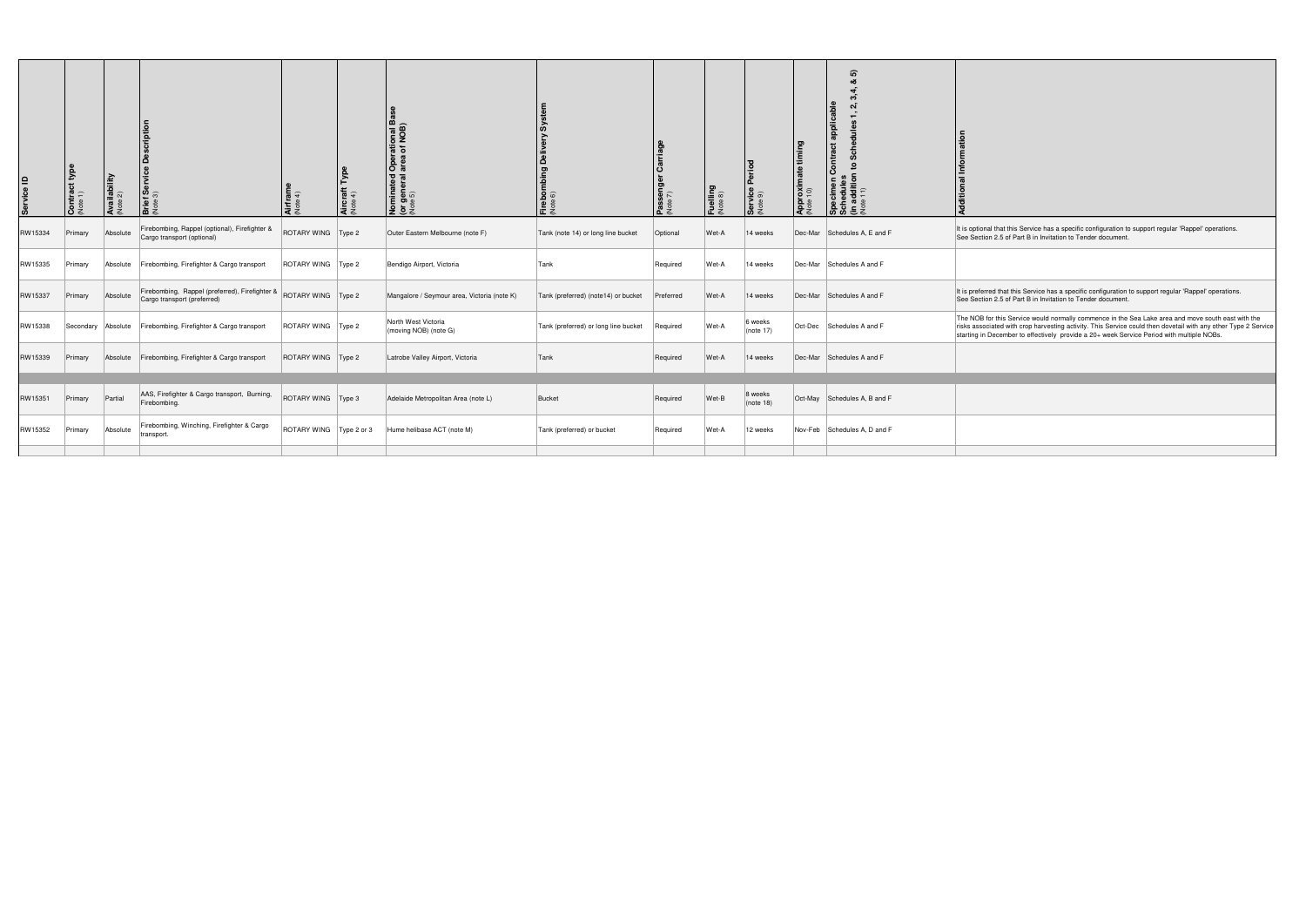| Service ID | $\frac{1}{2}$<br>$\frac{1}{2}$ | <b>Availability</b><br>Vote 2) |                                                                                                  | Airfram<br>Note 4)        | Aircraft<br>Note 4) | rational Ba<br>of NOB)<br>Oper<br>area<br><b>Nominated</b><br>(or general a<br>(Note 5) | irebor<br>Jote 6)                    | $\tilde{\mathbf{g}} \approx$ | <b>uelling</b><br>vote 8) | ervice<br>lote 9)        | timing<br><b>Approximate t</b><br>(Note 10) | ີທ<br>applicable<br>Contract<br>$\overline{a}$<br>$rac{E}{\sigma}$<br>ခြို့ မိ |                                                                                                                                                                                                                                                                                                                   |
|------------|--------------------------------|--------------------------------|--------------------------------------------------------------------------------------------------|---------------------------|---------------------|-----------------------------------------------------------------------------------------|--------------------------------------|------------------------------|---------------------------|--------------------------|---------------------------------------------|--------------------------------------------------------------------------------|-------------------------------------------------------------------------------------------------------------------------------------------------------------------------------------------------------------------------------------------------------------------------------------------------------------------|
| RW15334    | Primary                        | Absolute                       | Firebombing, Rappel (optional), Firefighter &<br>Cargo transport (optional)                      | ROTARY WING   Type 2      |                     | Outer Eastern Melbourne (note F)                                                        | Tank (note 14) or long line bucket   | Optional                     | Wet-A                     | 14 weeks                 |                                             | Dec-Mar Schedules A, E and F                                                   | It is optional that this Service has a specific configuration to support regular 'Rappel' operations.<br>See Section 2.5 of Part B in Invitation to Tender document.                                                                                                                                              |
| RW15335    | Primary                        | Absolute                       | Firebombing, Firefighter & Cargo transport                                                       | ROTARY WING   Type 2      |                     | Bendigo Airport, Victoria                                                               | Tank                                 | Required                     | Wet-A                     | 14 weeks                 |                                             | Dec-Mar Schedules A and F                                                      |                                                                                                                                                                                                                                                                                                                   |
| RW15337    | Primary                        | Absolute                       | Firebombing, Rappel (preferred), Firefighter & ROTARY WING Type 2<br>Cargo transport (preferred) |                           |                     | Mangalore / Seymour area, Victoria (note K)                                             | Tank (preferred) (note14) or bucket  | Preferred                    | Wet-A                     | 14 weeks                 |                                             | Dec-Mar Schedules A and F                                                      | It is preferred that this Service has a specific configuration to support regular 'Rappel' operations.<br>See Section 2.5 of Part B in Invitation to Tender document.                                                                                                                                             |
| RW15338    |                                | Secondary Absolute             | Firebombing, Firefighter & Cargo transport                                                       | ROTARY WING   Type 2      |                     | North West Victoria<br>(moving NOB) (note G)                                            | Tank (preferred) or long line bucket | Required                     | Wet-A                     | 6 weeks<br>$ $ (note 17) |                                             | Oct-Dec Schedules A and F                                                      | The NOB for this Service would normally commence in the Sea Lake area and move south east with the<br>risks associated with crop harvesting activity. This Service could then dovetail with any other Type 2 Service<br>starting in December to effectively provide a 20+ week Service Period with multiple NOBs. |
| RW15339    | Primary                        | Absolute                       | Firebombing, Firefighter & Cargo transport                                                       | ROTARY WING   Type 2      |                     | Latrobe Valley Airport, Victoria                                                        | Tank                                 | Required                     | ∣Wet-A                    | 14 weeks                 |                                             | Dec-Mar Schedules A and F                                                      |                                                                                                                                                                                                                                                                                                                   |
|            |                                |                                |                                                                                                  |                           |                     |                                                                                         |                                      |                              |                           |                          |                                             |                                                                                |                                                                                                                                                                                                                                                                                                                   |
| RW15351    | Primary                        | Partial                        | AAS, Firefighter & Cargo transport, Burning,<br>Firebombing.                                     | ROTARY WING   Type 3      |                     | Adelaide Metropolitan Area (note L)                                                     | Bucket                               | Required                     | Wet-B                     | 8 weeks<br>$ $ (note 18) |                                             | Oct-May Schedules A, B and F                                                   |                                                                                                                                                                                                                                                                                                                   |
| RW15352    | Primary                        | Absolute                       | Firebombing, Winching, Firefighter & Cargo<br>transport.                                         | ROTARY WING   Type 2 or 3 |                     | Hume helibase ACT (note M)                                                              | Tank (preferred) or bucket           | Required                     | Wet-A                     | 12 weeks                 |                                             | Nov-Feb Schedules A, D and F                                                   |                                                                                                                                                                                                                                                                                                                   |
|            |                                |                                |                                                                                                  |                           |                     |                                                                                         |                                      |                              |                           |                          |                                             |                                                                                |                                                                                                                                                                                                                                                                                                                   |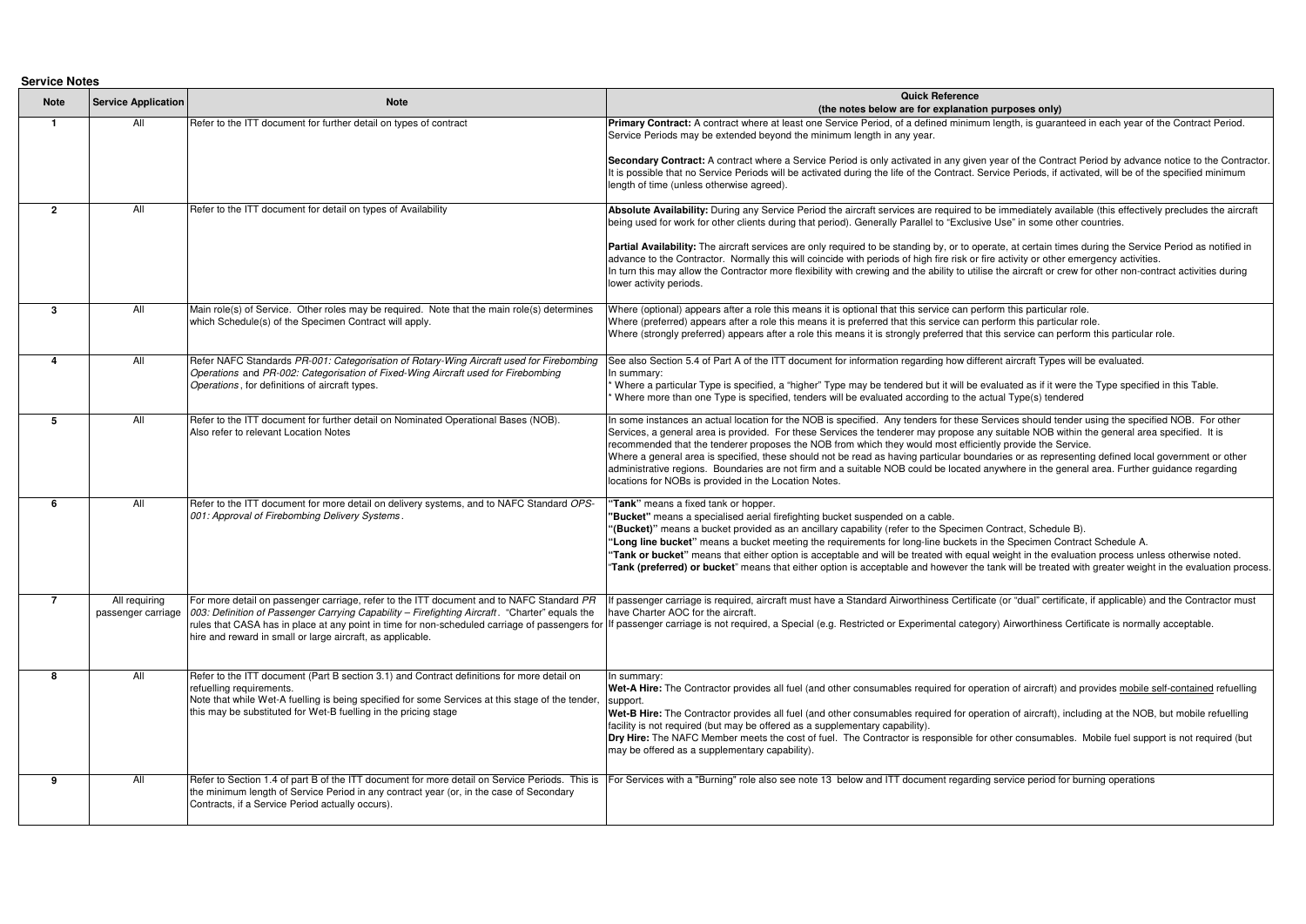**Service Notes**

| <b>DEI AICE IANIES</b> |                                     |                                                                                                                                                                                                                                                                                               |                                                                                                                                                                                                                                                                                                                                                                                                                                                                                                                                                                                                                                                                                                                                                                          |
|------------------------|-------------------------------------|-----------------------------------------------------------------------------------------------------------------------------------------------------------------------------------------------------------------------------------------------------------------------------------------------|--------------------------------------------------------------------------------------------------------------------------------------------------------------------------------------------------------------------------------------------------------------------------------------------------------------------------------------------------------------------------------------------------------------------------------------------------------------------------------------------------------------------------------------------------------------------------------------------------------------------------------------------------------------------------------------------------------------------------------------------------------------------------|
| <b>Note</b>            | <b>Service Application</b>          | <b>Note</b>                                                                                                                                                                                                                                                                                   | <b>Quick Reference</b><br>(the notes below are for explanation purposes only)                                                                                                                                                                                                                                                                                                                                                                                                                                                                                                                                                                                                                                                                                            |
| $\mathbf{1}$           | All                                 | Refer to the ITT document for further detail on types of contract                                                                                                                                                                                                                             | Primary Contract: A contract where at least one Service Period, of a defined minimum length, is guaranteed in each year of the Contract Period.<br>Service Periods may be extended beyond the minimum length in any year.<br>Secondary Contract: A contract where a Service Period is only activated in any given year of the Contract Period by advance notice to the Contractor.                                                                                                                                                                                                                                                                                                                                                                                       |
|                        |                                     |                                                                                                                                                                                                                                                                                               | It is possible that no Service Periods will be activated during the life of the Contract. Service Periods, if activated, will be of the specified minimum<br>length of time (unless otherwise agreed).                                                                                                                                                                                                                                                                                                                                                                                                                                                                                                                                                                   |
| $\overline{2}$         | All                                 | Refer to the ITT document for detail on types of Availability                                                                                                                                                                                                                                 | Absolute Availability: During any Service Period the aircraft services are required to be immediately available (this effectively precludes the aircraft<br>being used for work for other clients during that period). Generally Parallel to "Exclusive Use" in some other countries.                                                                                                                                                                                                                                                                                                                                                                                                                                                                                    |
|                        |                                     |                                                                                                                                                                                                                                                                                               | Partial Availability: The aircraft services are only required to be standing by, or to operate, at certain times during the Service Period as notified in<br>advance to the Contractor. Normally this will coincide with periods of high fire risk or fire activity or other emergency activities.<br>In turn this may allow the Contractor more flexibility with crewing and the ability to utilise the aircraft or crew for other non-contract activities during<br>lower activity periods.                                                                                                                                                                                                                                                                            |
| 3                      | All                                 | Main role(s) of Service. Other roles may be required. Note that the main role(s) determines<br>which Schedule(s) of the Specimen Contract will apply.                                                                                                                                         | Where (optional) appears after a role this means it is optional that this service can perform this particular role.<br>Where (preferred) appears after a role this means it is preferred that this service can perform this particular role.<br>Where (strongly preferred) appears after a role this means it is strongly preferred that this service can perform this particular role.                                                                                                                                                                                                                                                                                                                                                                                  |
| $\Delta$               | All                                 | Refer NAFC Standards PR-001: Categorisation of Rotary-Wing Aircraft used for Firebombing<br>Operations and PR-002: Categorisation of Fixed-Wing Aircraft used for Firebombing<br>Operations, for definitions of aircraft types.                                                               | See also Section 5.4 of Part A of the ITT document for information regarding how different aircraft Types will be evaluated.<br>In summary:<br>Where a particular Type is specified, a "higher" Type may be tendered but it will be evaluated as if it were the Type specified in this Table.<br>Where more than one Type is specified, tenders will be evaluated according to the actual Type(s) tendered                                                                                                                                                                                                                                                                                                                                                               |
| 5                      | All                                 | Refer to the ITT document for further detail on Nominated Operational Bases (NOB).<br>Also refer to relevant Location Notes                                                                                                                                                                   | In some instances an actual location for the NOB is specified. Any tenders for these Services should tender using the specified NOB. For other<br>Services, a general area is provided. For these Services the tenderer may propose any suitable NOB within the general area specified. It is<br>recommended that the tenderer proposes the NOB from which they would most efficiently provide the Service.<br>Where a general area is specified, these should not be read as having particular boundaries or as representing defined local government or other<br>administrative regions. Boundaries are not firm and a suitable NOB could be located anywhere in the general area. Further guidance regarding<br>locations for NOBs is provided in the Location Notes. |
| -6                     | All                                 | Refer to the ITT document for more detail on delivery systems, and to NAFC Standard OPS-<br>001: Approval of Firebombing Delivery Systems.                                                                                                                                                    | "Tank" means a fixed tank or hopper.<br>"Bucket" means a specialised aerial firefighting bucket suspended on a cable.<br>"(Bucket)" means a bucket provided as an ancillary capability (refer to the Specimen Contract, Schedule B).<br>"Long line bucket" means a bucket meeting the requirements for long-line buckets in the Specimen Contract Schedule A.<br>"Tank or bucket" means that either option is acceptable and will be treated with equal weight in the evaluation process unless otherwise noted.<br>"Tank (preferred) or bucket" means that either option is acceptable and however the tank will be treated with greater weight in the evaluation process                                                                                               |
|                        | All requiring<br>passenger carriage | For more detail on passenger carriage, refer to the ITT document and to NAFC Standard PR<br>003: Definition of Passenger Carrying Capability - Firefighting Aircraft. "Charter" equals the<br>hire and reward in small or large aircraft, as applicable.                                      | If passenger carriage is required, aircraft must have a Standard Airworthiness Certificate (or "dual" certificate, if applicable) and the Contractor must<br>have Charter AOC for the aircraft.<br>rules that CASA has in place at any point in time for non-scheduled carriage of passengers for If passenger carriage is not required, a Special (e.g. Restricted or Experimental category) Airworthiness Certificate is normal                                                                                                                                                                                                                                                                                                                                        |
| 8                      | All                                 | Refer to the ITT document (Part B section 3.1) and Contract definitions for more detail on<br>refuelling requirements.<br>Note that while Wet-A fuelling is being specified for some Services at this stage of the tender,<br>this may be substituted for Wet-B fuelling in the pricing stage | In summary:<br>Wet-A Hire: The Contractor provides all fuel (and other consumables required for operation of aircraft) and provides mobile self-contained refuelling<br>support.<br>Wet-B Hire: The Contractor provides all fuel (and other consumables required for operation of aircraft), including at the NOB, but mobile refuelling<br>facility is not required (but may be offered as a supplementary capability).<br>Dry Hire: The NAFC Member meets the cost of fuel. The Contractor is responsible for other consumables. Mobile fuel support is not required (but<br>may be offered as a supplementary capability).                                                                                                                                            |
| -9                     | All                                 | the minimum length of Service Period in any contract year (or, in the case of Secondary<br>Contracts, if a Service Period actually occurs).                                                                                                                                                   | Refer to Section 1.4 of part B of the ITT document for more detail on Service Periods. This is   For Services with a "Burning" role also see note 13 below and ITT document regarding service period for burning operations                                                                                                                                                                                                                                                                                                                                                                                                                                                                                                                                              |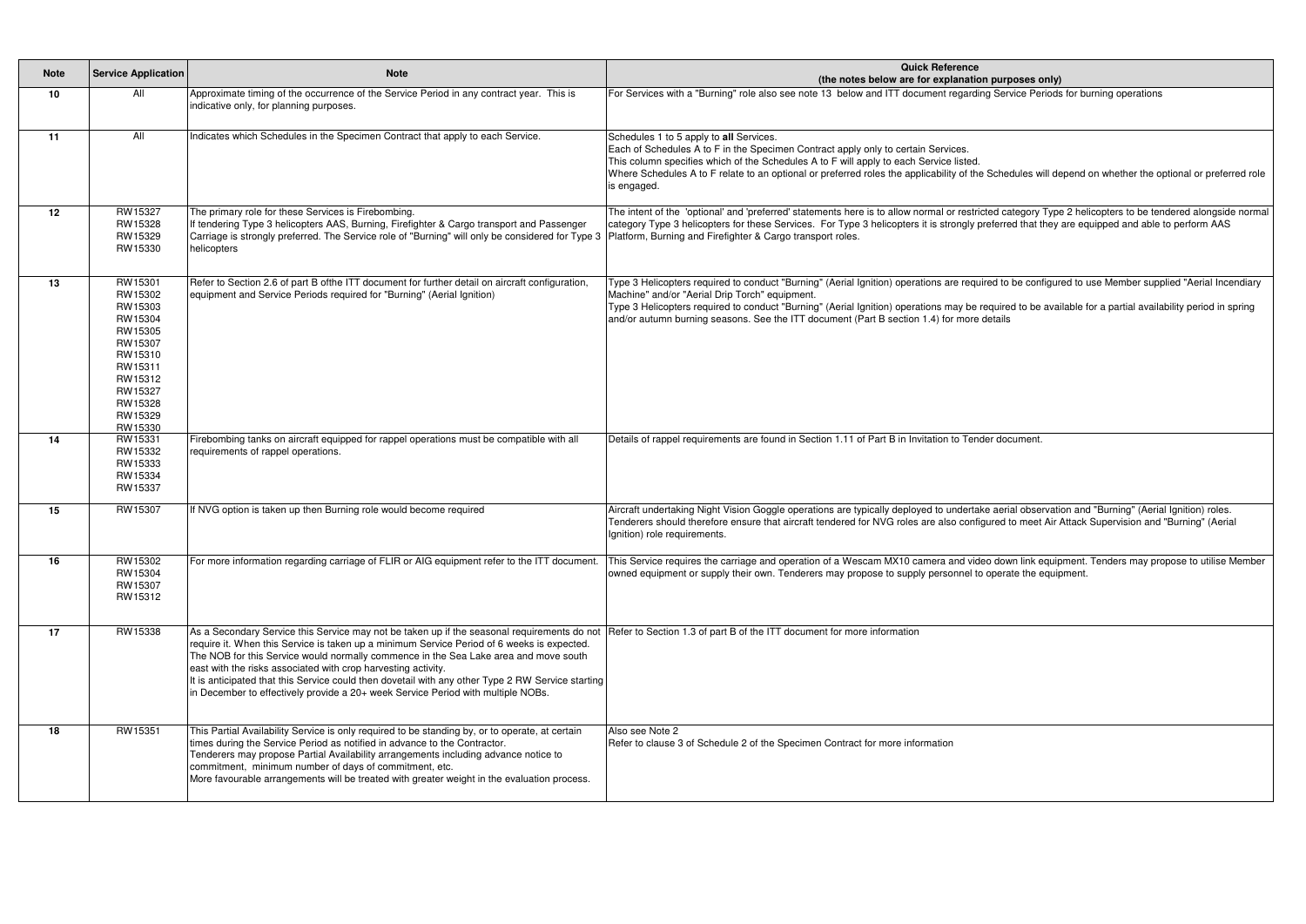| <b>Note</b> | <b>Service Application</b>                                                                                                                  | <b>Note</b>                                                                                                                                                                                                                                                                                                                                                                                                                                                                                                                                                                                                         | <b>Quick Reference</b><br>(the notes below are for explanation purposes only)                                                                                                                                                                                                                                                                                                                                                                                     |
|-------------|---------------------------------------------------------------------------------------------------------------------------------------------|---------------------------------------------------------------------------------------------------------------------------------------------------------------------------------------------------------------------------------------------------------------------------------------------------------------------------------------------------------------------------------------------------------------------------------------------------------------------------------------------------------------------------------------------------------------------------------------------------------------------|-------------------------------------------------------------------------------------------------------------------------------------------------------------------------------------------------------------------------------------------------------------------------------------------------------------------------------------------------------------------------------------------------------------------------------------------------------------------|
| 10          | All                                                                                                                                         | Approximate timing of the occurrence of the Service Period in any contract year. This is<br>indicative only, for planning purposes.                                                                                                                                                                                                                                                                                                                                                                                                                                                                                 | For Services with a "Burning" role also see note 13 below and ITT document regarding Service Periods for burning operations                                                                                                                                                                                                                                                                                                                                       |
| 11          | All                                                                                                                                         | Indicates which Schedules in the Specimen Contract that apply to each Service.                                                                                                                                                                                                                                                                                                                                                                                                                                                                                                                                      | Schedules 1 to 5 apply to all Services.<br>Each of Schedules A to F in the Specimen Contract apply only to certain Services.<br>This column specifies which of the Schedules A to F will apply to each Service listed.<br>Where Schedules A to F relate to an optional or preferred roles the applicability of the Schedules will depend on whether the optional or preferred role<br>is engaged.                                                                 |
| 12          | RW15327<br>RW15328<br>RW15329<br>RW15330                                                                                                    | The primary role for these Services is Firebombing.<br>If tendering Type 3 helicopters AAS, Burning, Firefighter & Cargo transport and Passenger<br>Carriage is strongly preferred. The Service role of "Burning" will only be considered for Type 3<br>helicopters                                                                                                                                                                                                                                                                                                                                                 | The intent of the 'optional' and 'preferred' statements here is to allow normal or restricted category Type 2 helicopters to be tendered alongside normal<br>category Type 3 helicopters for these Services. For Type 3 helicopters it is strongly preferred that they are equipped and able to perform AAS<br>Platform, Burning and Firefighter & Cargo transport roles.                                                                                         |
| 13          | RW15301<br>RW15302<br>RW15303<br>RW15304<br>RW15305<br>RW15307<br>RW15310<br>RW15311<br>RW15312<br>RW15327<br>RW15328<br>RW15329<br>RW15330 | Refer to Section 2.6 of part B ofthe ITT document for further detail on aircraft configuration,<br>equipment and Service Periods required for "Burning" (Aerial Ignition)                                                                                                                                                                                                                                                                                                                                                                                                                                           | Type 3 Helicopters required to conduct "Burning" (Aerial Ignition) operations are required to be configured to use Member supplied "Aerial Incendiary<br>Machine" and/or "Aerial Drip Torch" equipment.<br>Type 3 Helicopters required to conduct "Burning" (Aerial Ignition) operations may be required to be available for a partial availability period in spring<br>and/or autumn burning seasons. See the ITT document (Part B section 1.4) for more details |
| 14          | RW15331<br>RW15332<br>RW15333<br>RW15334<br>RW15337                                                                                         | Firebombing tanks on aircraft equipped for rappel operations must be compatible with all<br>requirements of rappel operations.                                                                                                                                                                                                                                                                                                                                                                                                                                                                                      | Details of rappel requirements are found in Section 1.11 of Part B in Invitation to Tender document.                                                                                                                                                                                                                                                                                                                                                              |
| 15          | RW15307                                                                                                                                     | If NVG option is taken up then Burning role would become required                                                                                                                                                                                                                                                                                                                                                                                                                                                                                                                                                   | Aircraft undertaking Night Vision Goggle operations are typically deployed to undertake aerial observation and "Burning" (Aerial Ignition) roles.<br>Tenderers should therefore ensure that aircraft tendered for NVG roles are also configured to meet Air Attack Supervision and "Burning" (Aerial<br>Ignition) role requirements.                                                                                                                              |
| 16          | RW15302<br>RW15304<br>RW15307<br>RW15312                                                                                                    | For more information regarding carriage of FLIR or AIG equipment refer to the ITT document                                                                                                                                                                                                                                                                                                                                                                                                                                                                                                                          | This Service requires the carriage and operation of a Wescam MX10 camera and video down link equipment. Tenders may propose to utilise Member<br>owned equipment or supply their own. Tenderers may propose to supply personnel to operate the equipment.                                                                                                                                                                                                         |
| 17          | RW15338                                                                                                                                     | As a Secondary Service this Service may not be taken up if the seasonal requirements do not Refer to Section 1.3 of part B of the ITT document for more information<br>require it. When this Service is taken up a minimum Service Period of 6 weeks is expected.<br>The NOB for this Service would normally commence in the Sea Lake area and move south<br>east with the risks associated with crop harvesting activity.<br>It is anticipated that this Service could then dovetail with any other Type 2 RW Service starting<br>in December to effectively provide a 20+ week Service Period with multiple NOBs. |                                                                                                                                                                                                                                                                                                                                                                                                                                                                   |
| 18          | RW15351                                                                                                                                     | This Partial Availability Service is only required to be standing by, or to operate, at certain<br>times during the Service Period as notified in advance to the Contractor.<br>Tenderers may propose Partial Availability arrangements including advance notice to<br>commitment, minimum number of days of commitment, etc.<br>More favourable arrangements will be treated with greater weight in the evaluation process.                                                                                                                                                                                        | Also see Note 2<br>Refer to clause 3 of Schedule 2 of the Specimen Contract for more information                                                                                                                                                                                                                                                                                                                                                                  |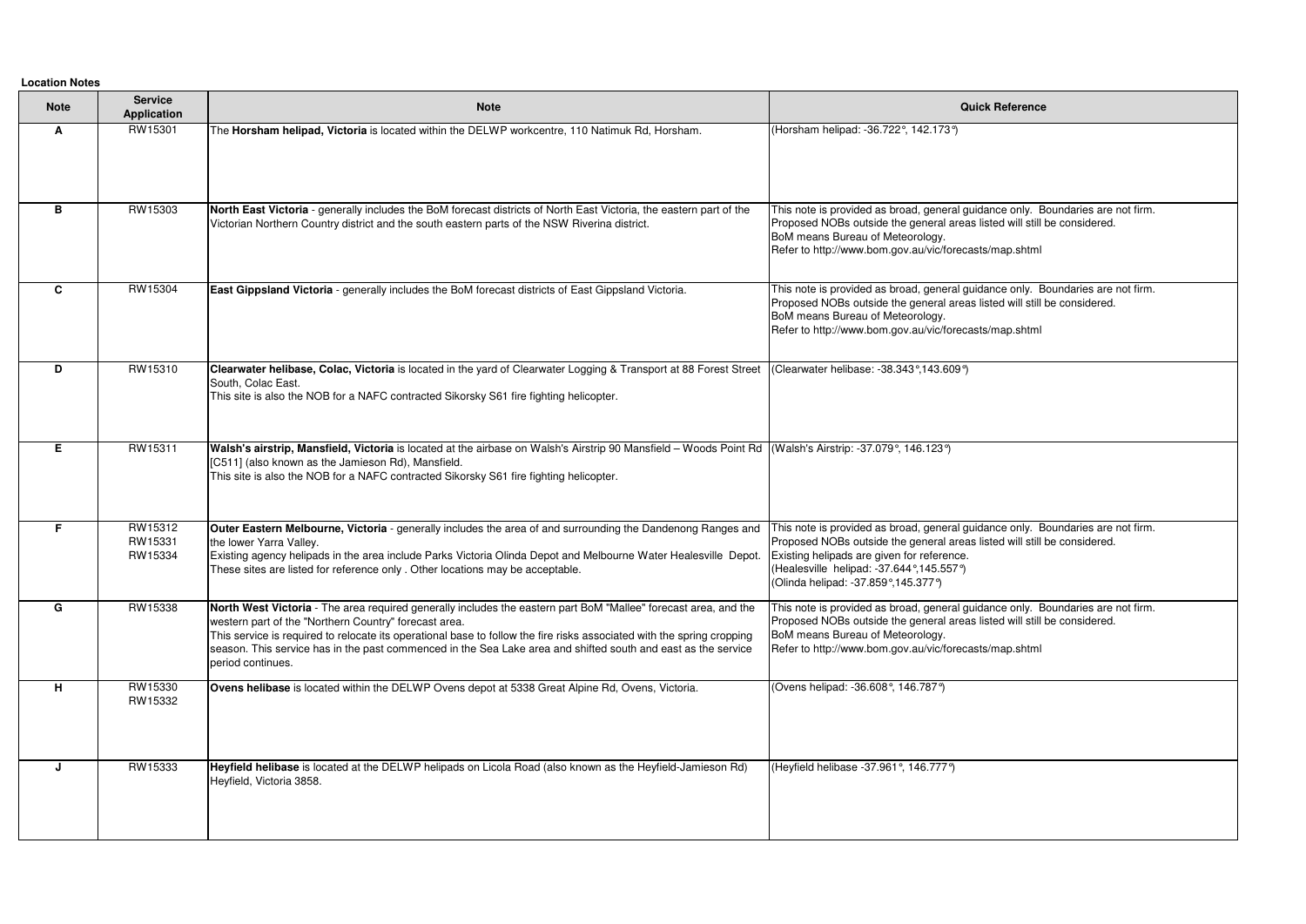**Location Notes**

| <b>Note</b> | <b>Service</b><br><b>Application</b> | <b>Note</b>                                                                                                                                                                                                                                                                                                                                                                                                                              | <b>Quick Reference</b>                                                                                                                                                                                                                                                                       |
|-------------|--------------------------------------|------------------------------------------------------------------------------------------------------------------------------------------------------------------------------------------------------------------------------------------------------------------------------------------------------------------------------------------------------------------------------------------------------------------------------------------|----------------------------------------------------------------------------------------------------------------------------------------------------------------------------------------------------------------------------------------------------------------------------------------------|
| A           | RW15301                              | The Horsham helipad, Victoria is located within the DELWP workcentre, 110 Natimuk Rd, Horsham.                                                                                                                                                                                                                                                                                                                                           | (Horsham helipad: -36.722°, 142.173°)                                                                                                                                                                                                                                                        |
| В           | RW15303                              | North East Victoria - generally includes the BoM forecast districts of North East Victoria, the eastern part of the<br>Victorian Northern Country district and the south eastern parts of the NSW Riverina district.                                                                                                                                                                                                                     | This note is provided as broad, general guidance only. Boundaries are not firm.<br>Proposed NOBs outside the general areas listed will still be considered.<br>BoM means Bureau of Meteorology.<br>Refer to http://www.bom.gov.au/vic/forecasts/map.shtml                                    |
| C           | RW15304                              | East Gippsland Victoria - generally includes the BoM forecast districts of East Gippsland Victoria.                                                                                                                                                                                                                                                                                                                                      | This note is provided as broad, general guidance only. Boundaries are not firm.<br>Proposed NOBs outside the general areas listed will still be considered.<br>BoM means Bureau of Meteorology.<br>Refer to http://www.bom.gov.au/vic/forecasts/map.shtml                                    |
| D           | RW15310                              | Clearwater helibase, Colac, Victoria is located in the yard of Clearwater Logging & Transport at 88 Forest Street<br>South, Colac East.<br>This site is also the NOB for a NAFC contracted Sikorsky S61 fire fighting helicopter.                                                                                                                                                                                                        | (Clearwater helibase: -38.343°,143.609°)                                                                                                                                                                                                                                                     |
| E.          | RW15311                              | Walsh's airstrip, Mansfield, Victoria is located at the airbase on Walsh's Airstrip 90 Mansfield - Woods Point Rd (Walsh's Airstrip: -37.079°, 146.123°)<br>[C511] (also known as the Jamieson Rd), Mansfield.<br>This site is also the NOB for a NAFC contracted Sikorsky S61 fire fighting helicopter.                                                                                                                                 |                                                                                                                                                                                                                                                                                              |
| F.          | RW15312<br>RW15331<br>RW15334        | Outer Eastern Melbourne, Victoria - generally includes the area of and surrounding the Dandenong Ranges and<br>the lower Yarra Valley.<br>Existing agency helipads in the area include Parks Victoria Olinda Depot and Melbourne Water Healesville Depot.<br>These sites are listed for reference only . Other locations may be acceptable.                                                                                              | This note is provided as broad, general guidance only. Boundaries are not firm.<br>Proposed NOBs outside the general areas listed will still be considered.<br>Existing helipads are given for reference.<br>(Healesville helipad: -37.644°,145.557°)<br>(Olinda helipad: -37.859°,145.377°) |
| G           | RW15338                              | North West Victoria - The area required generally includes the eastern part BoM "Mallee" forecast area, and the<br>western part of the "Northern Country" forecast area.<br>This service is required to relocate its operational base to follow the fire risks associated with the spring cropping<br>season. This service has in the past commenced in the Sea Lake area and shifted south and east as the service<br>period continues. | This note is provided as broad, general guidance only. Boundaries are not firm.<br>Proposed NOBs outside the general areas listed will still be considered.<br>BoM means Bureau of Meteorology.<br>Refer to http://www.bom.gov.au/vic/forecasts/map.shtml                                    |
| H           | RW15330<br>RW15332                   | Ovens helibase is located within the DELWP Ovens depot at 5338 Great Alpine Rd, Ovens, Victoria.                                                                                                                                                                                                                                                                                                                                         | (Ovens helipad: -36.608°, 146.787°)                                                                                                                                                                                                                                                          |
| J           | RW15333                              | Heyfield helibase is located at the DELWP helipads on Licola Road (also known as the Heyfield-Jamieson Rd)<br>Heyfield, Victoria 3858.                                                                                                                                                                                                                                                                                                   | (Heyfield helibase -37.961°, 146.777°)                                                                                                                                                                                                                                                       |